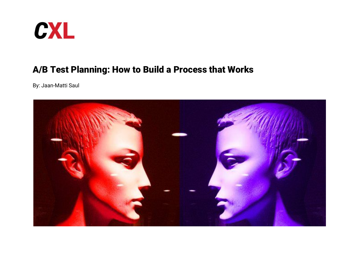

# A/B Test Planning: How to Build a Process that Works

By: Jaan-Matti Saul

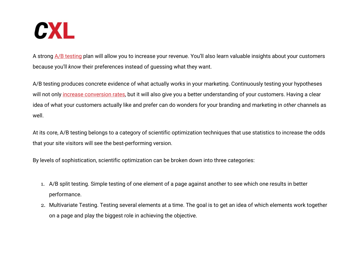

A strong  $A/B$  testing plan will allow you to increase your revenue. You'll also learn valuable insights about your customers because you'll *know* their preferences instead of guessing what they want.

A/B testing produces concrete evidence of what actually works in your marketing. Continuously testing your hypotheses will not only *increase conversion rates*, but it will also give you a better understanding of your customers. Having a clear idea of what your customers actually like and prefer can do wonders for your branding and marketing in *other* channels as well.

At its core, A/B testing belongs to a category of scientific optimization techniques that use statistics to increase the odds that your site visitors will see the best-performing version.

By levels of sophistication, scientific optimization can be broken down into three categories:

- 1. A/B split testing. Simple testing of one element of a page against another to see which one results in better performance.
- 2. Multivariate Testing. Testing several elements at a time. The goal is to get an idea of which elements work together on a page and play the biggest role in achieving the objective.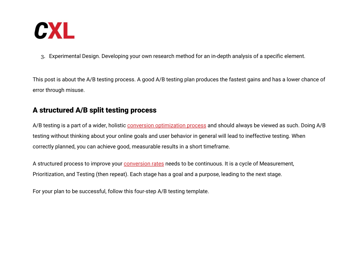

3. Experimental Design. Developing your own research method for an in-depth analysis of a specific element.

This post is about the A/B testing process. A good A/B testing plan produces the fastest gains and has a lower chance of error through misuse.

# A structured A/B split testing process

A/B testing is a part of a wider, holistic [conversion optimization process](https://conversionxl.com/conversion-optimization/) and should always be viewed as such. Doing A/B testing without thinking about your online goals and user behavior in general will lead to ineffective testing. When correctly planned, you can achieve good, measurable results in a short timeframe.

A structured process to improve your [conversion rates](https://conversionxl.com/conversion-rate-optimization/) needs to be continuous. It is a cycle of Measurement, Prioritization, and Testing (then repeat). Each stage has a goal and a purpose, leading to the next stage.

For your plan to be successful, follow this four-step A/B testing template.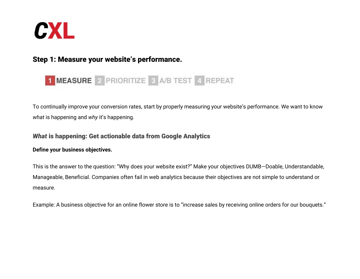

# Step 1: Measure your website's performance.

# 1 MEASURE 2 PRIORITIZE 3 A/B TEST 4 REPEAT

To continually improve your conversion rates, start by properly measuring your website's performance. We want to know *what* is happening and *why* it's happening.

## *What* is happening: Get actionable data from Google Analytics

#### **Define your business objectives.**

This is the answer to the question: "Why does your website exist?" Make your objectives DUMB—Doable, Understandable, Manageable, Beneficial. Companies often fail in web analytics because their objectives are not simple to understand or measure.

Example: A business objective for an online flower store is to "increase sales by receiving online orders for our bouquets."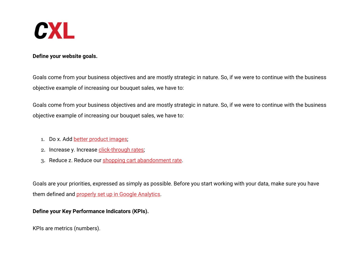

#### **Define your website goals.**

Goals come from your business objectives and are mostly strategic in nature. So, if we were to continue with the business objective example of increasing our bouquet sales, we have to:

Goals come from your business objectives and are mostly strategic in nature. So, if we were to continue with the business objective example of increasing our bouquet sales, we have to:

- 1. Do x. Add [better product images;](https://conversionxl.com/blog/how-images-can-boost-your-conversion-rate/)
- 2. Increase y. Increase [click-through rates](https://conversionxl.com/guides/click-through-rate/);
- 3. Reduce z. Reduce our [shopping cart abandonment rate](https://conversionxl.com/blog/shopping-cart-abandonment-how-to-recover-baskets-of-money/).

Goals are your priorities, expressed as simply as possible. Before you start working with your data, make sure you have them defined and [properly set up in Google Analytics](https://conversionxl.com/blog/google-analytics-setup-101/).

#### **Define your Key Performance Indicators (KPIs).**

KPIs are metrics (numbers).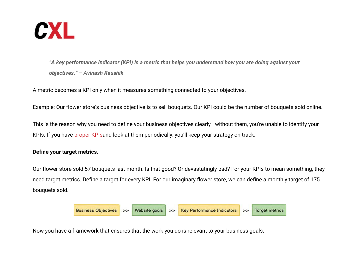

*"A key performance indicator (KPI) is a metric that helps you understand how you are doing against your objectives." – Avinash Kaushik*

A metric becomes a KPI only when it measures something connected to your objectives.

Example: Our flower store's business objective is to sell bouquets. Our KPI could be the number of bouquets sold online.

This is the reason why you need to define your business objectives clearly—without them, you're unable to identify your KPIs. If you have [proper KPIsa](https://conversionxl.com/blog/key-performance-indicators-kpi/)nd look at them periodically, you'll keep your strategy on track.

#### **Define your target metrics.**

Our flower store sold 57 bouquets last month. Is that good? Or devastatingly bad? For your KPIs to mean something, they need target metrics. Define a target for every KPI. For our imaginary flower store, we can define a monthly target of 175 bouquets sold.



Now you have a framework that ensures that the work you do is relevant to your business goals.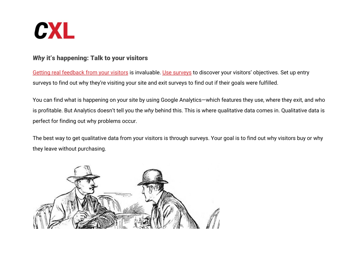

# *Why* it's happening: Talk to your visitors

[Getting real feedback from your visitors](https://conversionxl.com/blog/qualitative-research-guide/) is invaluable. [Use surveys](https://conversionxl.com/conversion-optimization/learning-from-customers-qualitative-surveys/) to discover your visitors' objectives. Set up entry surveys to find out why they're visiting your site and exit surveys to find out if their goals were fulfilled.

You can find what is happening on your site by using Google Analytics—which features they use, where they exit, and who is profitable. But Analytics doesn't tell you the *why* behind this. This is where qualitative data comes in. Qualitative data is perfect for finding out why problems occur.

The best way to get qualitative data from your visitors is through surveys. Your goal is to find out why visitors buy or why they leave without purchasing.

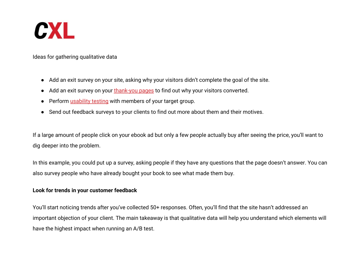

Ideas for gathering qualitative data

- Add an exit survey on your site, asking why your visitors didn't complete the goal of the site.
- Add an exit survey on your [thank-you pages](https://conversionxl.com/blog/thank-you-page/) to find out why your visitors converted.
- Perform [usability testing](https://conversionxl.com/blog/website-usability-testing-a-must-for-boosting-conversions/) with members of your target group.
- Send out feedback surveys to your clients to find out more about them and their motives.

If a large amount of people click on your ebook ad but only a few people actually buy after seeing the price, you'll want to dig deeper into the problem.

In this example, you could put up a survey, asking people if they have any questions that the page doesn't answer. You can also survey people who have already bought your book to see what made them buy.

#### **Look for trends in your customer feedback**

You'll start noticing trends after you've collected 50+ responses. Often, you'll find that the site hasn't addressed an important objection of your client. The main takeaway is that qualitative data will help you understand which elements will have the highest impact when running an A/B test.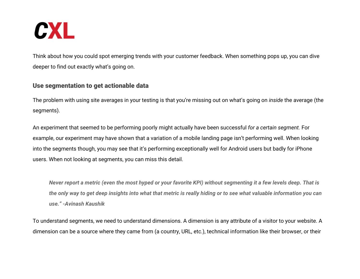

Think about how you could spot emerging trends with your customer feedback. When something pops up, you can dive deeper to find out exactly what's going on.

### Use segmentation to get actionable data

The problem with using site averages in your testing is that you're missing out on what's going on *inside* the average (the segments).

An experiment that seemed to be performing poorly might actually have been successful *for a certain segment.* For example, our experiment may have shown that a variation of a mobile landing page isn't performing well. When looking into the segments though, you may see that it's performing exceptionally well for Android users but badly for iPhone users. When not looking at segments, you can miss this detail.

*Never report a metric (even the most hyped or your favorite KPI) without segmenting it a few levels deep. That is the only way to get deep insights into what that metric is really hiding or to see what valuable information you can use." -Avinash Kaushik*

To understand segments, we need to understand dimensions. A dimension is any attribute of a visitor to your website. A dimension can be a source where they came from (a country, URL, etc.), technical information like their browser, or their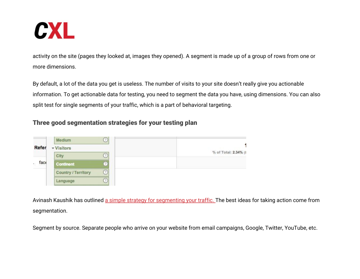

activity on the site (pages they looked at, images they opened). A segment is made up of a group of rows from one or more dimensions.

By default, a lot of the data you get is useless. The number of visits to your site doesn't really give you actionable information. To get actionable data for testing, you need to segment the data you have, using dimensions. You can also split test for single segments of your traffic, which is a part of behavioral targeting.

# Three good segmentation strategies for your testing plan



Avinash Kaushik has outlined [a simple strategy for segmenting your traffic. T](https://online-behavior.com/targeting/segment-or-die-214)he best ideas for taking action come from segmentation.

Segment by source. Separate people who arrive on your website from email campaigns, Google, Twitter, YouTube, etc.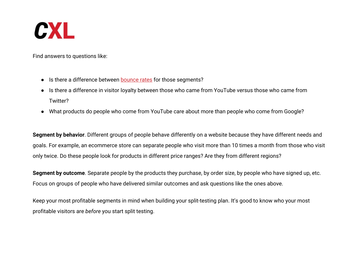![](_page_10_Picture_0.jpeg)

Find answers to questions like:

- Is there a difference between [bounce rates](https://conversionxl.com/guides/bounce-rate/) for those segments?
- Is there a difference in visitor loyalty between those who came from YouTube versus those who came from Twitter?
- What products do people who come from YouTube care about more than people who come from Google?

**Segment by behavior**. Different groups of people behave differently on a website because they have different needs and goals. For example, an ecommerce store can separate people who visit more than 10 times a month from those who visit only twice. Do these people look for products in different price ranges? Are they from different regions?

**Segment by outcome**. Separate people by the products they purchase, by order size, by people who have signed up, etc. Focus on groups of people who have delivered similar outcomes and ask questions like the ones above.

Keep your most profitable segments in mind when building your split-testing plan. It's good to know who your most profitable visitors are *before* you start split testing.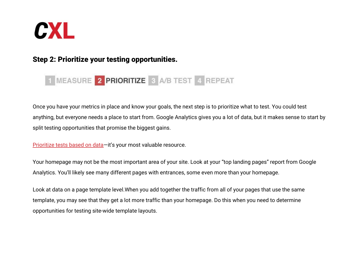![](_page_11_Picture_0.jpeg)

# Step 2: Prioritize your testing opportunities.

# 1 MEASURE 2 PRIORITIZE 3 A/B TEST 4 REPEAT

Once you have your metrics in place and know your goals, the next step is to prioritize what to test. You could test anything, but everyone needs a place to start from. Google Analytics gives you a lot of data, but it makes sense to start by split testing opportunities that promise the biggest gains.

Prioritize tests based on data-it's your most valuable resource.

Your homepage may not be the most important area of your site. Look at your "top landing pages" report from Google Analytics. You'll likely see many different pages with entrances, some even more than your homepage.

Look at data on a page template level.When you add together the traffic from all of your pages that use the same template, you may see that they get a lot more traffic than your homepage. Do this when you need to determine opportunities for testing site-wide template layouts.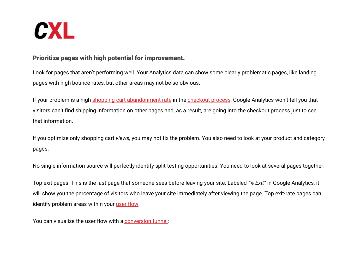![](_page_12_Picture_0.jpeg)

# Prioritize pages with high potential for improvement.

Look for pages that aren't performing well. Your Analytics data can show some clearly problematic pages, like landing pages with high bounce rates, but other areas may not be so obvious.

If your problem is a high [shopping-cart abandonment rate](https://conversionxl.com/blog/shopping-cart-abandonment-how-to-recover-baskets-of-money/) in the [checkout process](https://conversionxl.com/blog/how-to-design-an-ecommerce-checkout-flow-that-converts/), Google Analytics won't tell you that visitors can't find shipping information on other pages and, as a result, are going into the checkout process just to see that information.

If you optimize only shopping cart *views,* you may not fix the problem. You also need to look at your product and category pages.

No single information source will perfectly identify split-testing opportunities. You need to look at several pages together.

Top exit pages. This is the last page that someone sees before leaving your site. Labeled *"% Exit"* in Google Analytics, it will show you the percentage of visitors who leave your site immediately after viewing the page. Top exit-rate pages can identify problem areas within your [user flow](https://conversionxl.com/blog/how-to-design-user-flow/).

You can visualize the user flow with a [conversion funnel:](https://conversionxl.com/blog/funnels-google-analytics/)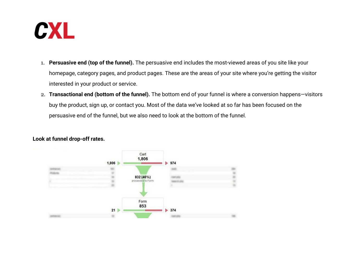![](_page_13_Picture_0.jpeg)

- 1. **Persuasive end (top of the funnel).** The persuasive end includes the most-viewed areas of you site like your homepage, category pages, and product pages. These are the areas of your site where you're getting the visitor interested in your product or service.
- 2. **Transactional end (bottom of the funnel).** The bottom end of your funnel is where a conversion happens—visitors buy the product, sign up, or contact you. Most of the data we've looked at so far has been focused on the persuasive end of the funnel, but we also need to look at the bottom of the funnel.

![](_page_13_Figure_3.jpeg)

#### **Look at funnel drop-off rates.**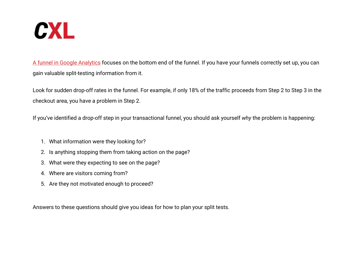![](_page_14_Picture_0.jpeg)

[A funnel in Google Analytics](https://conversionxl.com/blog/funnels-google-analytics/) focuses on the bottom end of the funnel. If you have your funnels correctly set up, you can gain valuable split-testing information from it.

Look for sudden drop-off rates in the funnel. For example, if only 18% of the traffic proceeds from Step 2 to Step 3 in the checkout area, you have a problem in Step 2.

If you've identified a drop-off step in your transactional funnel, you should ask yourself *why* the problem is happening:

- 1. What information were they looking for?
- 2. Is anything stopping them from taking action on the page?
- 3. What were they expecting to see on the page?
- 4. Where are visitors coming from?
- 5. Are they not motivated enough to proceed?

Answers to these questions should give you ideas for how to plan your split tests.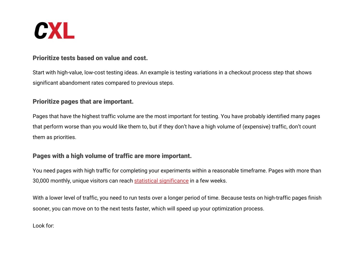![](_page_15_Picture_0.jpeg)

## Prioritize tests based on value and cost.

Start with high-value, low-cost testing ideas. An example is testing variations in a checkout process step that shows significant abandoment rates compared to previous steps.

## Prioritize pages that are important.

Pages that have the highest traffic volume are the most important for testing. You have probably identified many pages that perform worse than you would like them to, but if they don't have a high volume of (expensive) traffic, don't count them as priorities.

# Pages with a high volume of traffic are more important.

You need pages with high traffic for completing your experiments within a reasonable timeframe. Pages with more than 30,000 monthly, unique visitors can reach [statistical significance](https://conversionxl.com/blog/statistical-significance-does-not-equal-validity/) in a few weeks.

With a lower level of traffic, you need to run tests over a longer period of time. Because tests on high-traffic pages finish sooner, you can move on to the next tests faster, which will speed up your optimization process.

Look for: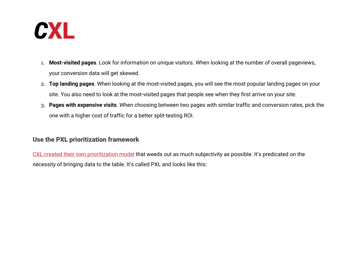![](_page_16_Picture_0.jpeg)

- 1. **Most-visited pages**. Look for information on unique visitors. When looking at the number of overall pageviews, your conversion data will get skewed.
- 2. **Top landing pages**. When looking at the most-visited pages, you will see the most popular landing pages on your site. You also need to look at the most-visited pages that people see when they first arrive on your site.
- 3. **Pages with expensive visits**. When choosing between two pages with similar traffic and conversion rates, pick the one with a higher cost of traffic for a better split-testing ROI.

# Use the PXL prioritization framework

[CXL created their own prioritization model](https://conversionxl.com/blog/better-way-prioritize-ab-tests/) that weeds out as much subjectivity as possible. It's predicated on the necessity of bringing data to the table. It's called PXL and looks like this: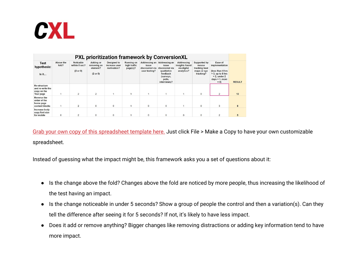![](_page_17_Picture_0.jpeg)

| PXL prioritization framework by ConversionXL                               |                    |                                        |                                                         |                                                    |                                               |                                          |                                                                                                                          |                                                           |                                                                    |                                                                                                                       |               |
|----------------------------------------------------------------------------|--------------------|----------------------------------------|---------------------------------------------------------|----------------------------------------------------|-----------------------------------------------|------------------------------------------|--------------------------------------------------------------------------------------------------------------------------|-----------------------------------------------------------|--------------------------------------------------------------------|-----------------------------------------------------------------------------------------------------------------------|---------------|
| <b>Test</b><br>hypothesis:<br>Is it                                        | Above the<br>fold? | Noticable<br>within 5 sec?<br>(2 or 0) | <b>Adding or</b><br>removing an<br>element?<br>(2 or 0) | <b>Designed to</b><br>increase user<br>motivation? | <b>Running on</b><br>high traffic<br>page(s)? | issue<br>discovered via<br>user testing? | Addressing an Addressing an<br>issue<br>discovered via<br>qualitative<br>feedback<br>(surveys,<br>polls,<br>interviews)? | Addressing<br>insights found<br>via digital<br>analytics? | Supported by<br>mouse<br>tracking heat<br>maps or eye<br>tracking? | Ease of<br>implementation<br>(less than 4 hrs<br>$= 3$ , up to 8 hrs<br>$= 2$ , under 2<br>$days = 1$ , more<br>$= 0$ | <b>RESULT</b> |
| <b>Re-structure</b><br>and re-write the<br>copy on the<br><b>Tour page</b> |                    | $\overline{2}$                         | $\overline{2}$                                          |                                                    |                                               |                                          |                                                                                                                          |                                                           | $\mathbf 0$                                                        | $\overline{2}$                                                                                                        | 12            |
| <b>Reverse the</b><br>order of the<br>home page<br>content blocks          |                    | $\overline{2}$                         | $\overline{0}$                                          | $\mathbf{0}$                                       |                                               | $\mathbf{0}$                             | $\Omega$                                                                                                                 |                                                           | $\mathbf{0}$                                                       | 3                                                                                                                     | 8             |
| Increase body<br>copy font size<br>for mobile                              |                    |                                        | $\mathbf{0}$                                            | $\mathbf{0}$                                       |                                               | $\Omega$                                 | $\Omega$                                                                                                                 | $\mathbf{0}$                                              | $\mathbf 0$                                                        | $\mathfrak{p}$                                                                                                        |               |

[Grab your own copy of this spreadsheet template here.](https://docs.google.com/spreadsheets/d/1DGuw1vkqYZ61plOpTcGHFDvh4MMP4kaRnlTtaXSWrJA/edit?usp=sharing) Just click File > Make a Copy to have your own customizable spreadsheet.

Instead of guessing what the impact might be, this framework asks you a set of questions about it:

- Is the change above the fold? Changes above the fold are noticed by more people, thus increasing the likelihood of the test having an impact.
- Is the change noticeable in under 5 seconds? Show a group of people the control and then a variation(s). Can they tell the difference after seeing it for 5 seconds? If not, it's likely to have less impact.
- Does it add or remove anything? Bigger changes like removing distractions or adding key information tend to have more impact.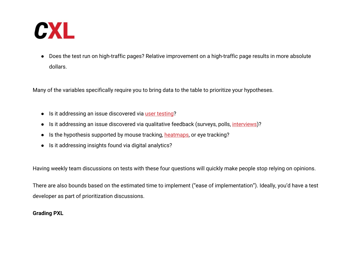![](_page_18_Picture_0.jpeg)

● Does the test run on high-traffic pages? Relative improvement on a high-traffic page results in more absolute dollars.

Many of the variables specifically require you to bring data to the table to prioritize your hypotheses.

- Is it addressing an issue discovered via [user testing](https://conversionxl.com/conversion-optimization/user-testing/)?
- Is it addressing an issue discovered via qualitative feedback (surveys, polls, [interviews](https://conversionxl.com/blog/customer-interviews/))?
- Is the hypothesis supported by mouse tracking, [heatmaps,](https://conversionxl.com/blog/19-things-we-can-learn-from-numerous-heatmap-tests/) or eye tracking?
- Is it addressing insights found via digital analytics?

Having weekly team discussions on tests with these four questions will quickly make people stop relying on opinions.

There are also bounds based on the estimated time to implement ("ease of implementation"). Ideally, you'd have a test developer as part of prioritization discussions.

#### **Grading PXL**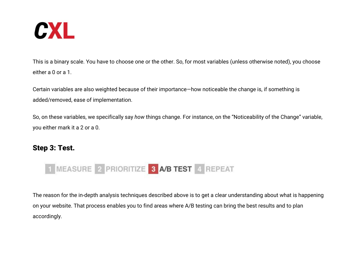![](_page_19_Picture_0.jpeg)

This is a binary scale. You have to choose one or the other. So, for most variables (unless otherwise noted), you choose either a 0 or a 1.

Certain variables are also weighted because of their importance—how noticeable the change is, if something is added/removed, ease of implementation.

So, on these variables, we specifically say *how* things change. For instance, on the "Noticeability of the Change" variable, you either mark it a 2 or a 0.

# Step 3: Test.

![](_page_19_Picture_5.jpeg)

The reason for the in-depth analysis techniques described above is to get a clear understanding about what is happening on your website. That process enables you to find areas where A/B testing can bring the best results and to plan accordingly.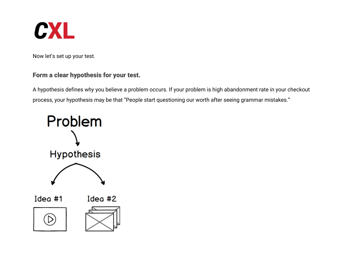![](_page_20_Picture_0.jpeg)

Now let's set up your test.

# Form a clear hypothesis for your test.

A hypothesis defines *why* you believe a problem occurs. If your problem is high abandonment rate in your checkout process, your hypothesis may be that "People start questioning our worth after seeing grammar mistakes."

![](_page_20_Figure_4.jpeg)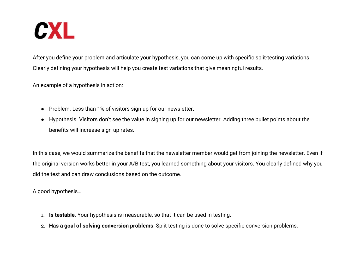![](_page_21_Picture_0.jpeg)

After you define your problem and articulate your hypothesis, you can come up with specific split-testing variations. Clearly defining your hypothesis will help you create test variations that give meaningful results.

An example of a hypothesis in action:

- Problem. Less than 1% of visitors sign up for our newsletter.
- Hypothesis. Visitors don't see the value in signing up for our newsletter. Adding three bullet points about the benefits will increase sign-up rates.

In this case, we would summarize the benefits that the newsletter member would get from joining the newsletter. Even if the original version works better in your A/B test, you learned something about your visitors. You clearly defined why you did the test and can draw conclusions based on the outcome.

A good hypothesis…

- 1. **Is testable**. Your hypothesis is measurable, so that it can be used in testing.
- 2. **Has a goal of solving conversion problems**. Split testing is done to solve specific conversion problems.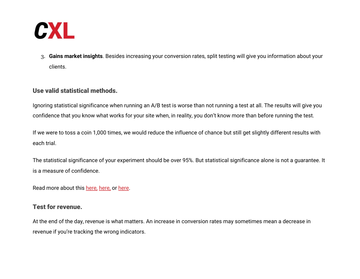![](_page_22_Picture_0.jpeg)

3. **Gains market insights**. Besides increasing your conversion rates, split testing will give you information about your clients.

## Use valid statistical methods.

Ignoring statistical significance when running an A/B test is worse than not running a test at all. The results will give you confidence that you know what works for your site when, in reality, you don't know more than before running the test.

If we were to toss a coin 1,000 times, we would reduce the influence of chance but still get slightly different results with each trial.

The statistical significance of your experiment should be over 95%. But statistical significance alone is not a guarantee. It is a measure of confidence.

Read more about this [here,](https://conversionxl.com/three-hard-truths-about-ab-testing/) [here,](https://conversionxl.com/blog/magical-95-statistical-significance/) or [here.](https://conversionxl.com/blog/statistical-power/)

## Test for revenue.

At the end of the day, revenue is what matters. An increase in conversion rates may sometimes mean a decrease in revenue if you're tracking the wrong indicators.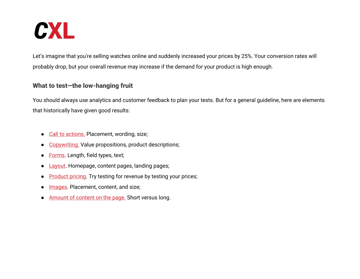![](_page_23_Picture_0.jpeg)

Let's imagine that you're selling watches online and suddenly increased your prices by 25%. Your conversion rates will probably drop, but your overall revenue may increase if the demand for your product is high enough.

# What to test—the low-hanging fruit

You should always use analytics and customer feedback to plan your tests. But for a general guideline, here are elements that historically have given good results:

- [Call to actions.](https://conversionxl.com/blog/call-to-action-examples/) Placement, wording, size;
- [Copywriting.](https://conversionxl.com/blog/quick-course-on-effective-website-copywriting/) Value propositions, product descriptions;
- [Forms](https://conversionxl.com/blog/form-design-best-practices/). Length, field types, text;
- [Layout](https://conversionxl.com/blog/universal-web-design-principles/). Homepage, content pages, landing pages;
- [Produc](https://conversionxl.com/pricing-experiments-you-might-not-know-but-can-learn-from/)[t](https://conversionxl.com/blog/product-pricing-strategies-and-techniques/) [pricing](https://conversionxl.com/pricing-experiments-you-might-not-know-but-can-learn-from/). Try testing for revenue by testing your prices;
- [Images.](https://conversionxl.com/blog/how-images-can-boost-your-conversion-rate/) Placement, content, and size;
- [Amount of content on the page.](https://conversionxl.com/blog/website-information-architecture-optimal-user-experience/) Short versus long.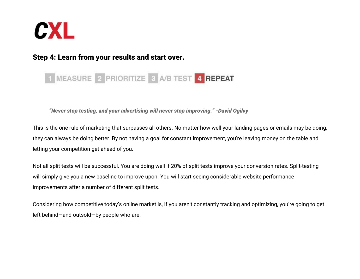![](_page_24_Picture_0.jpeg)

# Step 4: Learn from your results and start over.

# 1 MEASURE 2 PRIORITIZE 3 A/B TEST 4 REPEAT

*"Never stop testing, and your advertising will never stop improving." -David Ogilvy*

This is the one rule of marketing that surpasses all others. No matter how well your landing pages or emails may be doing, they can always be doing better. By not having a goal for constant improvement, you're leaving money on the table and letting your competition get ahead of you.

Not all split tests will be successful. You are doing well if 20% of split tests improve your conversion rates. Split-testing will simply give you a new baseline to improve upon. You will start seeing considerable website performance improvements after a number of different split tests.

Considering how competitive today's online market is, if you aren't constantly tracking and optimizing, you're going to get left behind—and outsold—by people who are.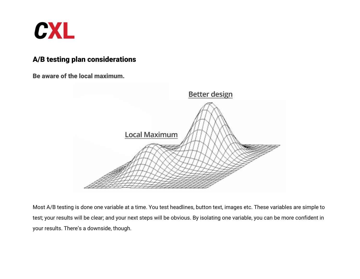![](_page_25_Picture_0.jpeg)

# A/B testing plan considerations

Be aware of the local maximum.

![](_page_25_Picture_3.jpeg)

Most A/B testing is done one variable at a time. You test headlines, button text, images etc. These variables are simple to test; your results will be clear; and your next steps will be obvious. By isolating one variable, you can be more confident in your results. There's a downside, though.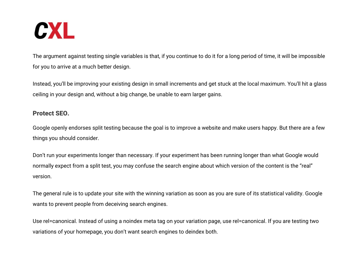![](_page_26_Picture_0.jpeg)

The argument against testing single variables is that, if you continue to do it for a long period of time, it will be impossible for you to arrive at a much better design.

Instead, you'll be improving your existing design in small increments and get stuck at the local maximum. You'll hit a glass ceiling in your design and, without a big change, be unable to earn larger gains.

### Protect SEO.

Google openly endorses split testing because the goal is to improve a website and make users happy. But there are a few things you should consider.

Don't run your experiments longer than necessary. If your experiment has been running longer than what Google would normally expect from a split test, you may confuse the search engine about which version of the content is the "real" version.

The general rule is to update your site with the winning variation as soon as you are sure of its statistical validity. Google wants to prevent people from deceiving search engines.

Use rel=canonical. Instead of using a noindex meta tag on your variation page, use rel=canonical. If you are testing two variations of your homepage, you don't want search engines to deindex both.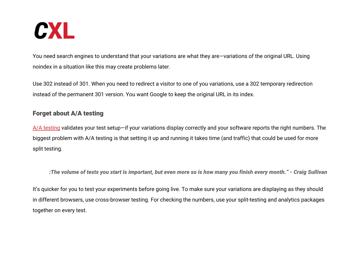![](_page_27_Picture_0.jpeg)

You need search engines to understand that your variations are what they are—variations of the original URL. Using noindex in a situation like this may create problems later.

Use 302 instead of 301. When you need to redirect a visitor to one of you variations, use a 302 temporary redirection instead of the permanent 301 version. You want Google to keep the original URL in its index.

## Forget about A/A testing

[A/A testing](https://conversionxl.com/blog/aa-testing-waste-time/) validates your test setup—if your variations display correctly and your software reports the right numbers. The biggest problem with A/A testing is that setting it up and running it takes time (and traffic) that could be used for more split testing.

*:The volume of tests you start is important, but even more so is how many you finish every month." - Craig Sullivan*

It's quicker for you to test your experiments before going live. To make sure your variations are displaying as they should in different browsers, use cross-browser testing. For checking the numbers, use your split-testing and analytics packages together on every test.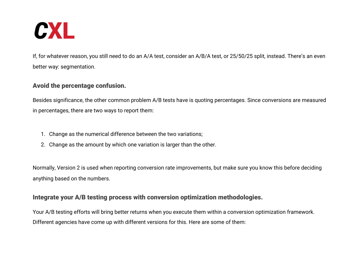![](_page_28_Picture_0.jpeg)

If, for whatever reason, you still need to do an A/A test, consider an A/B/A test, or 25/50/25 split, instead. There's an even better way: segmentation.

## Avoid the percentage confusion.

Besides significance, the other common problem A/B tests have is quoting percentages. Since conversions are measured in percentages, there are two ways to report them:

- 1. Change as the numerical difference between the two variations;
- 2. Change as the amount by which one variation is larger than the other.

Normally, Version 2 is used when reporting conversion rate improvements, but make sure you know this before deciding anything based on the numbers.

## Integrate your A/B testing process with conversion optimization methodologies.

Your A/B testing efforts will bring better returns when you execute them within a conversion optimization framework. Different agencies have come up with different versions for this. Here are some of them: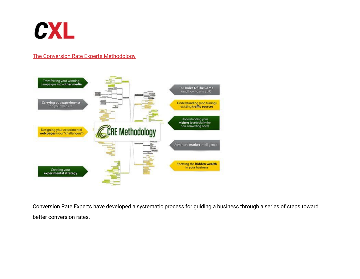![](_page_29_Picture_0.jpeg)

### [The Conversion Rate Experts Methodology](http://www.conversion-rate-experts.com/methodology/)

![](_page_29_Figure_2.jpeg)

Conversion Rate Experts have developed a systematic process for guiding a business through a series of steps toward better conversion rates.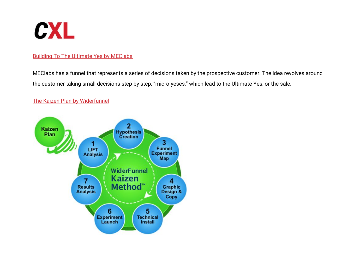![](_page_30_Picture_0.jpeg)

#### [Building To The Ultimate Yes by MEClabs](http://www.marketingexperiments.com/blog/marketing-insights/the-ultimate-yes-conversio.html)

MEClabs has a funnel that represents a series of decisions taken by the prospective customer. The idea revolves around the customer taking small decisions step by step, "micro-yeses," which lead to the Ultimate Yes, or the sale.

#### [The Kaizen Plan by Widerfunnel](http://www.widerfunnel.com/solutions/our-process)

![](_page_30_Figure_4.jpeg)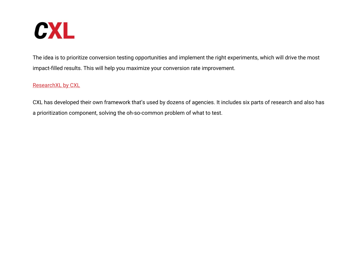![](_page_31_Picture_0.jpeg)

The idea is to prioritize conversion testing opportunities and implement the right experiments, which will drive the most impact-filled results. This will help you maximize your conversion rate improvement.

### [ResearchXL by CXL](https://conversionxl.com/blog/how-to-come-up-with-more-winning-tests-using-data/)

CXL has developed their own framework that's used by dozens of agencies. It includes six parts of research and also has a prioritization component, solving the oh-so-common problem of what to test.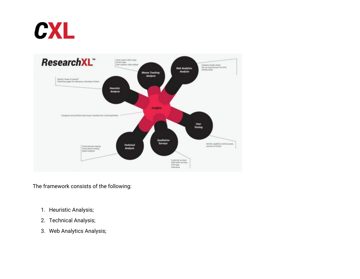![](_page_32_Picture_0.jpeg)

![](_page_32_Figure_1.jpeg)

The framework consists of the following:

- 1. Heuristic Analysis;
- 2. Technical Analysis;
- 3. Web Analytics Analysis;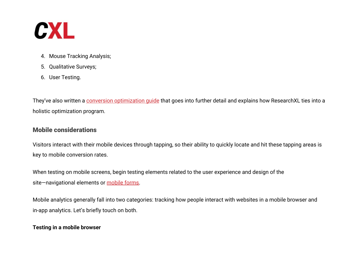![](_page_33_Picture_0.jpeg)

- 4. Mouse Tracking Analysis;
- 5. Qualitative Surveys;
- 6. User Testing.

They've also written a conversion optimization quide that goes into further detail and explains how ResearchXL ties into a holistic optimization program.

# Mobile considerations

Visitors interact with their mobile devices through tapping, so their ability to quickly locate and hit these tapping areas is key to mobile conversion rates.

When testing on mobile screens, begin testing elements related to the user experience and design of the site-navigational elements or [mobile forms.](https://conversionxl.com/blog/mobile-forms/)

Mobile analytics generally fall into two categories: tracking how people interact with websites in a mobile browser and in-app analytics. Let's briefly touch on both.

### **Testing in a mobile browser**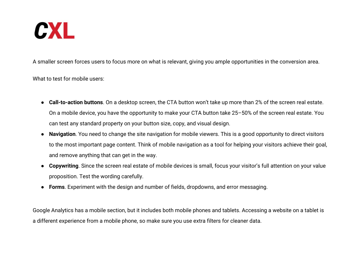![](_page_34_Picture_0.jpeg)

A smaller screen forces users to focus more on what is relevant, giving you ample opportunities in the conversion area.

What to test for mobile users:

- **Call-to-action buttons**. On a desktop screen, the CTA button won't take up more than 2% of the screen real estate. On a mobile device, you have the opportunity to make your CTA button take 25–50% of the screen real estate. You can test any standard property on your button size, copy, and visual design.
- **Navigation**. You need to change the site navigation for mobile viewers. This is a good opportunity to direct visitors to the most important page content. Think of mobile navigation as a tool for helping your visitors achieve their goal, and remove anything that can get in the way.
- **Copywriting**. Since the screen real estate of mobile devices is small, focus your visitor's full attention on your value proposition. Test the wording carefully.
- **Forms**. Experiment with the design and number of fields, dropdowns, and error messaging.

Google Analytics has a mobile section, but it includes both mobile phones and tablets. Accessing a website on a tablet is a different experience from a mobile phone, so make sure you use extra filters for cleaner data.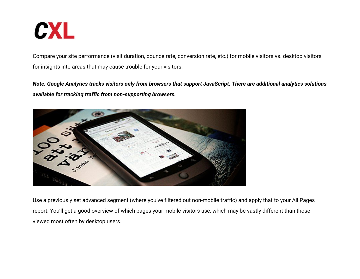![](_page_35_Picture_0.jpeg)

Compare your site performance (visit duration, bounce rate, conversion rate, etc.) for mobile visitors vs. desktop visitors for insights into areas that may cause trouble for your visitors.

*Note: Google Analytics tracks visitors only from browsers that support JavaScript. There are additional analytics solutions available for tracking traffic from non-supporting browsers.*

![](_page_35_Picture_3.jpeg)

Use a previously set advanced segment (where you've filtered out non-mobile traffic) and apply that to your All Pages report. You'll get a good overview of which pages your mobile visitors use, which may be vastly different than those viewed most often by desktop users.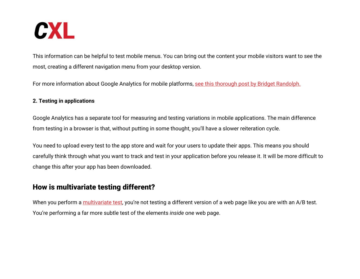![](_page_36_Picture_0.jpeg)

This information can be helpful to test mobile menus. You can bring out the content your mobile visitors want to see the most, creating a different navigation menu from your desktop version.

For more information about Google Analytics for mobile platforms, [see this thorough post by Bridget Randolph.](https://www.distilled.net/google-analytics-mobile-tracking/)

#### **2. Testing in applications**

Google Analytics has a separate tool for measuring and testing variations in mobile applications. The main difference from testing in a browser is that, without putting in some thought, you'll have a slower reiteration cycle.

You need to upload every test to the app store and wait for your users to update their apps. This means you should carefully think through what you want to track and test in your application before you release it. It will be more difficult to change this after your app has been downloaded.

# How is multivariate testing different?

When you perform a [multivariate test](https://conversionxl.com/blog/multivariate-tests/), you're not testing a different version of a web page like you are with an A/B test. You're performing a far more subtle test of the elements *inside* one web page.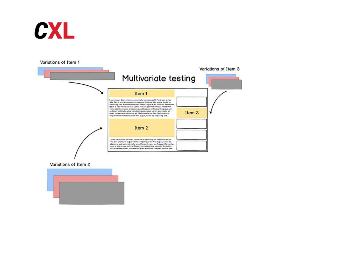![](_page_37_Picture_0.jpeg)

Variations of Item 1

![](_page_37_Figure_2.jpeg)

Variations of Item 2

![](_page_37_Figure_4.jpeg)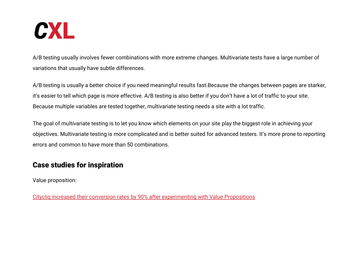![](_page_38_Picture_0.jpeg)

A/B testing usually involves fewer combinations with more extreme changes. Multivariate tests have a large number of variations that usually have subtle differences.

A/B testing is usually a better choice if you need meaningful results fast.Because the changes between pages are starker, it's easier to tell which page is more effective. A/B testing is also better if you don't have a lot of traffic to your site. Because multiple variables are tested together, multivariate testing needs a site with a lot traffic.

The goal of multivariate testing is to let you know which elements on your site play the biggest role in achieving your objectives. Multivariate testing is more complicated and is better suited for advanced testers. It's more prone to reporting errors and common to have more than 50 combinations.

# Case studies for inspiration

Value proposition:

[Citycliq increased their conversion rates by 90% after experimenting with Value Propositions](https://vwo.com/resources/case-studies/positioning-message-test-citycliq-increased-conversions/)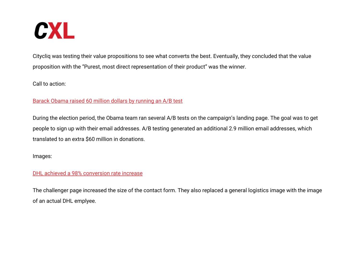![](_page_39_Picture_0.jpeg)

Citycliq was testing their value propositions to see what converts the best. Eventually, they concluded that the value proposition with the "Purest, most direct representation of their product" was the winner.

Call to action:

#### [Barack Obama raised 60 million dollars by running an A/B test](https://blog.optimizely.com/2010/11/29/how-obama-raised-60-million-by-running-a-simple-experiment/)

During the election period, the Obama team ran several A/B tests on the campaign's landing page. The goal was to get people to sign up with their email addresses. A/B testing generated an additional 2.9 million email addresses, which translated to an extra \$60 million in donations.

Images:

[DHL achieved a 98% conversion rate increase](https://web.archive.org/web/20130130012710/http://www.ioninteractive.com/post-click-marketing-blog/2012/10/8/ab-testing-generates-a-98-lift-in-conversion-rate-for-dhl.html)

The challenger page increased the size of the contact form. They also replaced a general logistics image with the image of an actual DHL emplyee.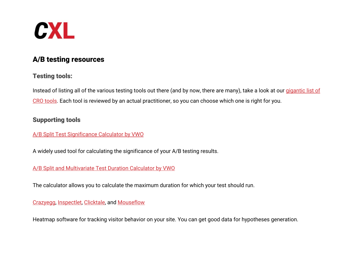![](_page_40_Picture_0.jpeg)

# A/B testing resources

# Testing tools:

Instead of listing all of the various testing tools out there (and by now, there are many), take a look at our *[gigantic list of](https://conversionxl.com/blog/conversion-optimization-tools/)* [CRO tools](https://conversionxl.com/blog/conversion-optimization-tools/). Each tool is reviewed by an actual practitioner, so you can choose which one is right for you.

# Supporting tools

#### [A/B Split Test Significance Calculator by VWO](https://vwo.com/ab-split-test-significance-calculator/)

A widely used tool for calculating the significance of your A/B testing results.

### [A/B Split and Multivariate Test Duration Calculator by VWO](https://vwo.com/ab-split-test-duration/)

The calculator allows you to calculate the maximum duration for which your test should run.

### [Crazyegg,](https://www.crazyegg.com/) [Inspectlet,](https://conversionxl.com/inspectlet) [Clicktale,](https://conversionxl.com/clicktale) and [Mouseflow](https://conversionxl.com/mouseflow)

Heatmap software for tracking visitor behavior on your site. You can get good data for hypotheses generation.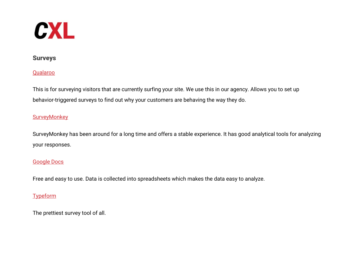![](_page_41_Picture_0.jpeg)

### Surveys

#### [Qualaroo](https://qualaroo.com/)

This is for surveying visitors that are currently surfing your site. We use this in our agency. Allows you to set up behavior-triggered surveys to find out why your customers are behaving the way they do.

### **[SurveyMonkey](http://www.surveymonkey.com/)**

SurveyMonkey has been around for a long time and offers a stable experience. It has good analytical tools for analyzing your responses.

### [Google Docs](https://docs.google.com/)

Free and easy to use. Data is collected into spreadsheets which makes the data easy to analyze.

## **[Typeform](http://www.typeform.com/)**

The prettiest survey tool of all.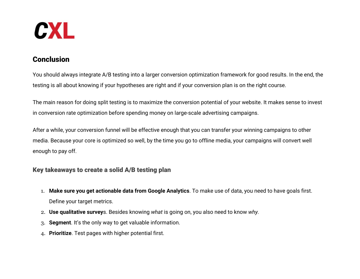![](_page_42_Picture_0.jpeg)

# Conclusion

You should always integrate A/B testing into a larger conversion optimization framework for good results. In the end, the testing is all about knowing if your hypotheses are right and if your conversion plan is on the right course.

The main reason for doing split testing is to maximize the conversion potential of your website. It makes sense to invest in conversion rate optimization before spending money on large-scale advertising campaigns.

After a while, your conversion funnel will be effective enough that you can transfer your winning campaigns to other media. Because your core is optimized so well, by the time you go to offline media, your campaigns will convert well enough to pay off.

## Key takeaways to create a solid A/B testing plan

- 1. **Make sure you get actionable data from Google Analytics**. To make use of data, you need to have goals first. Define your target metrics.
- 2. **Use qualitative survey**s. Besides knowing *what* is going on, you also need to know *why.*
- 3. **Segment**. It's the only way to get valuable information.
- 4. **Prioritize**. Test pages with higher potential first.